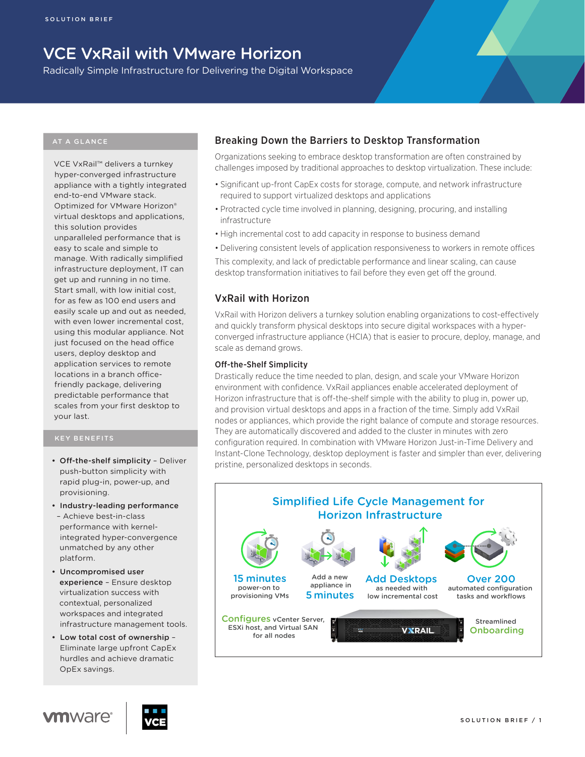# VCE VxRail with VMware Horizon

Radically Simple Infrastructure for Delivering the Digital Workspace

VCE VxRail™ delivers a turnkey hyper-converged infrastructure appliance with a tightly integrated end-to-end VMware stack. Optimized for VMware Horizon® virtual desktops and applications, this solution provides unparalleled performance that is easy to scale and simple to manage. With radically simplified infrastructure deployment, IT can get up and running in no time. Start small, with low initial cost, for as few as 100 end users and easily scale up and out as needed, with even lower incremental cost, using this modular appliance. Not just focused on the head office users, deploy desktop and application services to remote locations in a branch officefriendly package, delivering predictable performance that scales from your first desktop to your last.

#### KEY BENEFITS

- Off-the-shelf simplicity Deliver push-button simplicity with rapid plug-in, power-up, and provisioning.
- • Industry-leading performance – Achieve best-in-class performance with kernelintegrated hyper-convergence unmatched by any other platform.
- • Uncompromised user experience – Ensure desktop virtualization success with contextual, personalized workspaces and integrated infrastructure management tools.
- • Low total cost of ownership Eliminate large upfront CapEx hurdles and achieve dramatic OpEx savings.

# Breaking Down the Barriers to Desktop Transformation

Organizations seeking to embrace desktop transformation are often constrained by challenges imposed by traditional approaches to desktop virtualization. These include:

- • Significant up-front CapEx costs for storage, compute, and network infrastructure required to support virtualized desktops and applications
- Protracted cycle time involved in planning, designing, procuring, and installing infrastructure
- High incremental cost to add capacity in response to business demand
- • Delivering consistent levels of application responsiveness to workers in remote offices

This complexity, and lack of predictable performance and linear scaling, can cause desktop transformation initiatives to fail before they even get off the ground.

## VxRail with Horizon

VxRail with Horizon delivers a turnkey solution enabling organizations to cost-effectively and quickly transform physical desktops into secure digital workspaces with a hyperconverged infrastructure appliance (HCIA) that is easier to procure, deploy, manage, and scale as demand grows.

#### Off-the-Shelf Simplicity

Drastically reduce the time needed to plan, design, and scale your VMware Horizon environment with confidence. VxRail appliances enable accelerated deployment of Horizon infrastructure that is off-the-shelf simple with the ability to plug in, power up, and provision virtual desktops and apps in a fraction of the time. Simply add VxRail nodes or appliances, which provide the right balance of compute and storage resources. They are automatically discovered and added to the cluster in minutes with zero configuration required. In combination with VMware Horizon Just-in-Time Delivery and Instant-Clone Technology, desktop deployment is faster and simpler than ever, delivering pristine, personalized desktops in seconds.